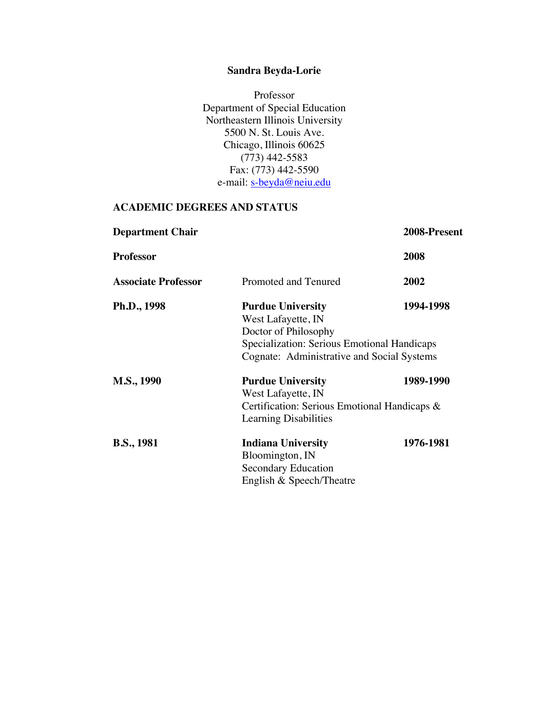# **Sandra Beyda-Lorie**

Professor Department of Special Education Northeastern Illinois University 5500 N. St. Louis Ave. Chicago, Illinois 60625 (773) 442-5583 Fax: (773) 442-5590 e-mail: s-beyda@neiu.edu

# **ACADEMIC DEGREES AND STATUS**

| <b>Department Chair</b>    |                                                                                                                                                                                  | 2008-Present |
|----------------------------|----------------------------------------------------------------------------------------------------------------------------------------------------------------------------------|--------------|
| <b>Professor</b>           |                                                                                                                                                                                  | 2008         |
| <b>Associate Professor</b> | Promoted and Tenured                                                                                                                                                             | 2002         |
| Ph.D., 1998                | 1994-1998<br><b>Purdue University</b><br>West Lafayette, IN<br>Doctor of Philosophy<br>Specialization: Serious Emotional Handicaps<br>Cognate: Administrative and Social Systems |              |
| M.S., 1990                 | <b>Purdue University</b><br>West Lafayette, IN<br>Certification: Serious Emotional Handicaps &<br>Learning Disabilities                                                          | 1989-1990    |
| <b>B.S., 1981</b>          | <b>Indiana University</b><br>Bloomington, IN<br><b>Secondary Education</b><br>English & Speech/Theatre                                                                           | 1976-1981    |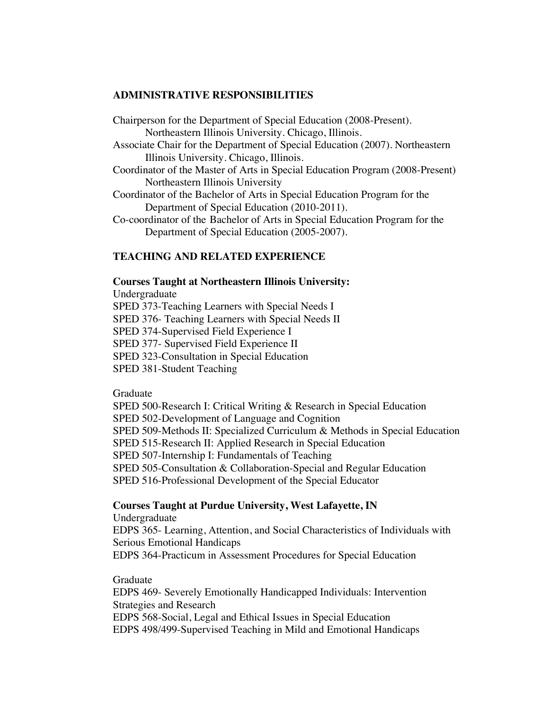#### **ADMINISTRATIVE RESPONSIBILITIES**

Chairperson for the Department of Special Education (2008-Present). Northeastern Illinois University. Chicago, Illinois. Associate Chair for the Department of Special Education (2007). Northeastern

Illinois University. Chicago, Illinois. Coordinator of the Master of Arts in Special Education Program (2008-Present)

Northeastern Illinois University

- Coordinator of the Bachelor of Arts in Special Education Program for the Department of Special Education (2010-2011).
- Co-coordinator of the Bachelor of Arts in Special Education Program for the Department of Special Education (2005-2007).

# **TEACHING AND RELATED EXPERIENCE**

#### **Courses Taught at Northeastern Illinois University:**

Undergraduate SPED 373-Teaching Learners with Special Needs I SPED 376- Teaching Learners with Special Needs II SPED 374-Supervised Field Experience I SPED 377- Supervised Field Experience II SPED 323-Consultation in Special Education SPED 381-Student Teaching

#### Graduate

SPED 500-Research I: Critical Writing & Research in Special Education SPED 502-Development of Language and Cognition SPED 509-Methods II: Specialized Curriculum & Methods in Special Education SPED 515-Research II: Applied Research in Special Education SPED 507-Internship I: Fundamentals of Teaching SPED 505-Consultation & Collaboration-Special and Regular Education SPED 516-Professional Development of the Special Educator

### **Courses Taught at Purdue University, West Lafayette, IN**

Undergraduate EDPS 365- Learning, Attention, and Social Characteristics of Individuals with Serious Emotional Handicaps EDPS 364-Practicum in Assessment Procedures for Special Education

### Graduate

EDPS 469- Severely Emotionally Handicapped Individuals: Intervention Strategies and Research EDPS 568-Social, Legal and Ethical Issues in Special Education EDPS 498/499-Supervised Teaching in Mild and Emotional Handicaps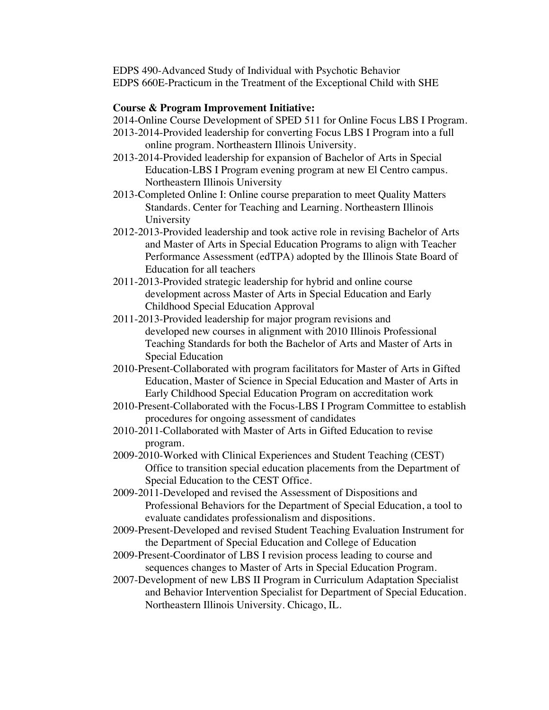EDPS 490-Advanced Study of Individual with Psychotic Behavior EDPS 660E-Practicum in the Treatment of the Exceptional Child with SHE

# **Course & Program Improvement Initiative:**

- 2014-Online Course Development of SPED 511 for Online Focus LBS I Program.
- 2013-2014-Provided leadership for converting Focus LBS I Program into a full online program. Northeastern Illinois University.
- 2013-2014-Provided leadership for expansion of Bachelor of Arts in Special Education-LBS I Program evening program at new El Centro campus. Northeastern Illinois University
- 2013-Completed Online I: Online course preparation to meet Quality Matters Standards. Center for Teaching and Learning. Northeastern Illinois University
- 2012-2013-Provided leadership and took active role in revising Bachelor of Arts and Master of Arts in Special Education Programs to align with Teacher Performance Assessment (edTPA) adopted by the Illinois State Board of Education for all teachers
- 2011-2013-Provided strategic leadership for hybrid and online course development across Master of Arts in Special Education and Early Childhood Special Education Approval
- 2011-2013-Provided leadership for major program revisions and developed new courses in alignment with 2010 Illinois Professional Teaching Standards for both the Bachelor of Arts and Master of Arts in Special Education
- 2010-Present-Collaborated with program facilitators for Master of Arts in Gifted Education, Master of Science in Special Education and Master of Arts in Early Childhood Special Education Program on accreditation work
- 2010-Present-Collaborated with the Focus-LBS I Program Committee to establish procedures for ongoing assessment of candidates
- 2010-2011-Collaborated with Master of Arts in Gifted Education to revise program.
- 2009-2010-Worked with Clinical Experiences and Student Teaching (CEST) Office to transition special education placements from the Department of Special Education to the CEST Office.
- 2009-2011-Developed and revised the Assessment of Dispositions and Professional Behaviors for the Department of Special Education, a tool to evaluate candidates professionalism and dispositions.
- 2009-Present-Developed and revised Student Teaching Evaluation Instrument for the Department of Special Education and College of Education
- 2009-Present-Coordinator of LBS I revision process leading to course and sequences changes to Master of Arts in Special Education Program.
- 2007-Development of new LBS II Program in Curriculum Adaptation Specialist and Behavior Intervention Specialist for Department of Special Education. Northeastern Illinois University. Chicago, IL.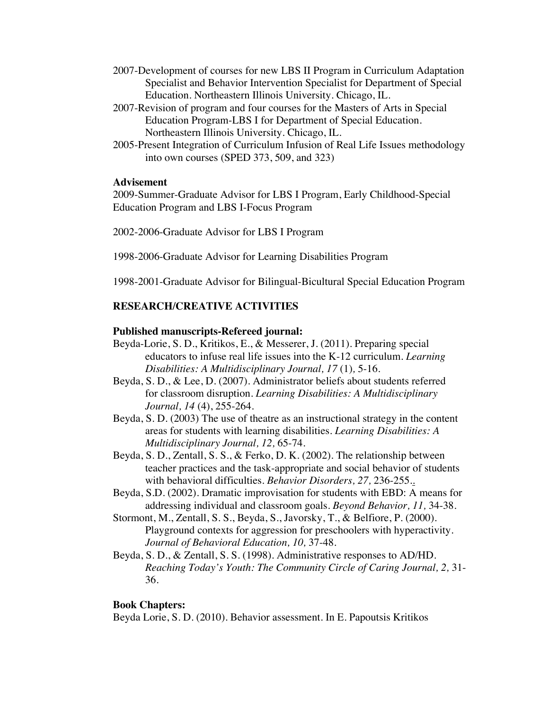- 2007-Development of courses for new LBS II Program in Curriculum Adaptation Specialist and Behavior Intervention Specialist for Department of Special Education. Northeastern Illinois University. Chicago, IL.
- 2007-Revision of program and four courses for the Masters of Arts in Special Education Program-LBS I for Department of Special Education. Northeastern Illinois University. Chicago, IL.
- 2005-Present Integration of Curriculum Infusion of Real Life Issues methodology into own courses (SPED 373, 509, and 323)

# **Advisement**

2009-Summer-Graduate Advisor for LBS I Program, Early Childhood-Special Education Program and LBS I-Focus Program

2002-2006-Graduate Advisor for LBS I Program

1998-2006-Graduate Advisor for Learning Disabilities Program

1998-2001-Graduate Advisor for Bilingual-Bicultural Special Education Program

# **RESEARCH/CREATIVE ACTIVITIES**

# **Published manuscripts-Refereed journal:**

- Beyda-Lorie, S. D., Kritikos, E., & Messerer, J. (2011). Preparing special educators to infuse real life issues into the K-12 curriculum. *Learning Disabilities: A Multidisciplinary Journal, 17* (1)*,* 5-16.
- Beyda, S. D., & Lee, D. (2007). Administrator beliefs about students referred for classroom disruption. *Learning Disabilities: A Multidisciplinary Journal, 14* (4), 255-264.
- Beyda, S. D. (2003) The use of theatre as an instructional strategy in the content areas for students with learning disabilities. *Learning Disabilities: A Multidisciplinary Journal, 12,* 65-74.
- Beyda, S. D., Zentall, S. S., & Ferko, D. K. (2002). The relationship between teacher practices and the task-appropriate and social behavior of students with behavioral difficulties. *Behavior Disorders, 27,* 236-255..
- Beyda, S.D. (2002). Dramatic improvisation for students with EBD: A means for addressing individual and classroom goals. *Beyond Behavior, 11,* 34-38.
- Stormont, M., Zentall, S. S., Beyda, S., Javorsky, T., & Belfiore, P. (2000). Playground contexts for aggression for preschoolers with hyperactivity. *Journal of Behavioral Education, 10,* 37-48.
- Beyda, S. D., & Zentall, S. S. (1998). Administrative responses to AD/HD. *Reaching Today's Youth: The Community Circle of Caring Journal, 2,* 31- 36.

# **Book Chapters:**

Beyda Lorie, S. D. (2010). Behavior assessment. In E. Papoutsis Kritikos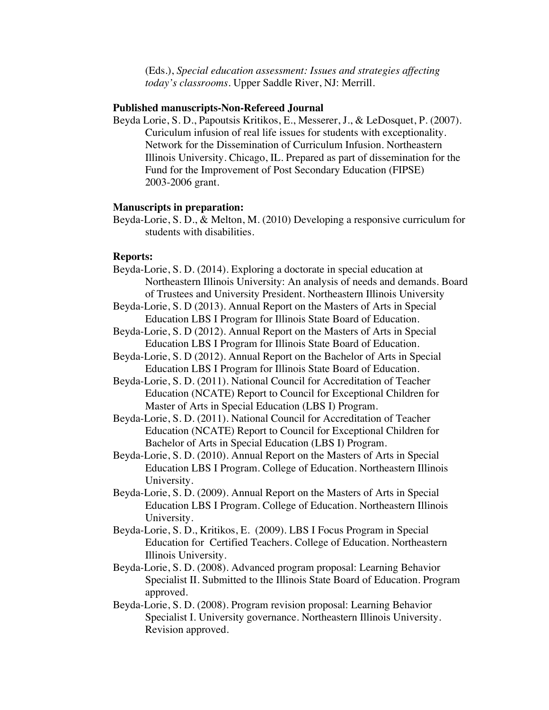(Eds.), *Special education assessment: Issues and strategies affecting today's classrooms.* Upper Saddle River, NJ: Merrill.

#### **Published manuscripts-Non-Refereed Journal**

Beyda Lorie, S. D., Papoutsis Kritikos, E., Messerer, J., & LeDosquet, P. (2007). Curiculum infusion of real life issues for students with exceptionality. Network for the Dissemination of Curriculum Infusion. Northeastern Illinois University. Chicago, IL. Prepared as part of dissemination for the Fund for the Improvement of Post Secondary Education (FIPSE) 2003-2006 grant.

#### **Manuscripts in preparation:**

Beyda-Lorie, S. D., & Melton, M. (2010) Developing a responsive curriculum for students with disabilities.

#### **Reports:**

- Beyda-Lorie, S. D. (2014). Exploring a doctorate in special education at Northeastern Illinois University: An analysis of needs and demands. Board of Trustees and University President. Northeastern Illinois University
- Beyda-Lorie, S. D (2013). Annual Report on the Masters of Arts in Special Education LBS I Program for Illinois State Board of Education.
- Beyda-Lorie, S. D (2012). Annual Report on the Masters of Arts in Special Education LBS I Program for Illinois State Board of Education.
- Beyda-Lorie, S. D (2012). Annual Report on the Bachelor of Arts in Special Education LBS I Program for Illinois State Board of Education.
- Beyda-Lorie, S. D. (2011). National Council for Accreditation of Teacher Education (NCATE) Report to Council for Exceptional Children for Master of Arts in Special Education (LBS I) Program.
- Beyda-Lorie, S. D. (2011). National Council for Accreditation of Teacher Education (NCATE) Report to Council for Exceptional Children for Bachelor of Arts in Special Education (LBS I) Program.
- Beyda-Lorie, S. D. (2010). Annual Report on the Masters of Arts in Special Education LBS I Program. College of Education. Northeastern Illinois University.
- Beyda-Lorie, S. D. (2009). Annual Report on the Masters of Arts in Special Education LBS I Program. College of Education. Northeastern Illinois University.
- Beyda-Lorie, S. D., Kritikos, E. (2009). LBS I Focus Program in Special Education for Certified Teachers. College of Education. Northeastern Illinois University.
- Beyda-Lorie, S. D. (2008). Advanced program proposal: Learning Behavior Specialist II. Submitted to the Illinois State Board of Education. Program approved.
- Beyda-Lorie, S. D. (2008). Program revision proposal: Learning Behavior Specialist I. University governance. Northeastern Illinois University. Revision approved.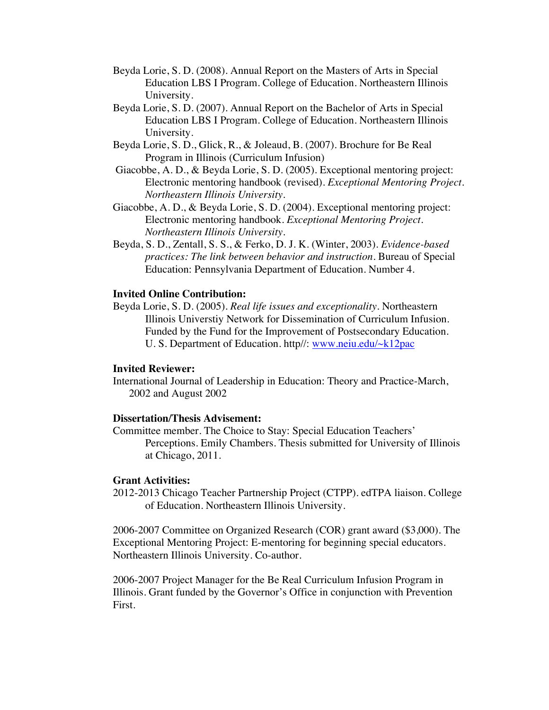- Beyda Lorie, S. D. (2008). Annual Report on the Masters of Arts in Special Education LBS I Program. College of Education. Northeastern Illinois University.
- Beyda Lorie, S. D. (2007). Annual Report on the Bachelor of Arts in Special Education LBS I Program. College of Education. Northeastern Illinois University.
- Beyda Lorie, S. D., Glick, R., & Joleaud, B. (2007). Brochure for Be Real Program in Illinois (Curriculum Infusion)
- Giacobbe, A. D., & Beyda Lorie, S. D. (2005). Exceptional mentoring project: Electronic mentoring handbook (revised). *Exceptional Mentoring Project. Northeastern Illinois University.*
- Giacobbe, A. D., & Beyda Lorie, S. D. (2004). Exceptional mentoring project: Electronic mentoring handbook. *Exceptional Mentoring Project. Northeastern Illinois University.*
- Beyda, S. D., Zentall, S. S., & Ferko, D. J. K. (Winter, 2003). *Evidence-based practices: The link between behavior and instruction.* Bureau of Special Education: Pennsylvania Department of Education. Number 4.

### **Invited Online Contribution:**

Beyda Lorie, S. D. (2005). *Real life issues and exceptionality.* Northeastern Illinois Universtiy Network for Dissemination of Curriculum Infusion. Funded by the Fund for the Improvement of Postsecondary Education. U. S. Department of Education. http//: www.neiu.edu/~k12pac

### **Invited Reviewer:**

International Journal of Leadership in Education: Theory and Practice-March, 2002 and August 2002

#### **Dissertation/Thesis Advisement:**

Committee member. The Choice to Stay: Special Education Teachers' Perceptions. Emily Chambers. Thesis submitted for University of Illinois at Chicago, 2011.

#### **Grant Activities:**

2012-2013 Chicago Teacher Partnership Project (CTPP). edTPA liaison. College of Education. Northeastern Illinois University.

2006-2007 Committee on Organized Research (COR) grant award (\$3,000). The Exceptional Mentoring Project: E-mentoring for beginning special educators. Northeastern Illinois University. Co-author.

2006-2007 Project Manager for the Be Real Curriculum Infusion Program in Illinois. Grant funded by the Governor's Office in conjunction with Prevention First.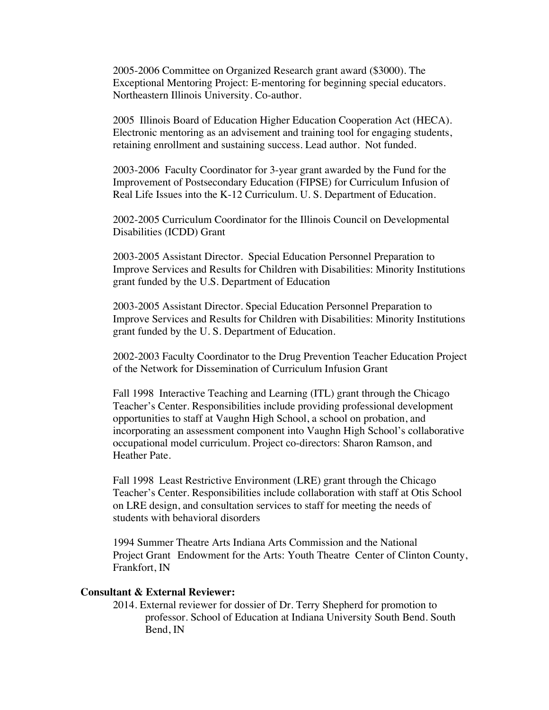2005-2006 Committee on Organized Research grant award (\$3000). The Exceptional Mentoring Project: E-mentoring for beginning special educators. Northeastern Illinois University. Co-author.

2005 Illinois Board of Education Higher Education Cooperation Act (HECA). Electronic mentoring as an advisement and training tool for engaging students, retaining enrollment and sustaining success. Lead author. Not funded.

2003-2006 Faculty Coordinator for 3-year grant awarded by the Fund for the Improvement of Postsecondary Education (FIPSE) for Curriculum Infusion of Real Life Issues into the K-12 Curriculum. U. S. Department of Education.

2002-2005 Curriculum Coordinator for the Illinois Council on Developmental Disabilities (ICDD) Grant

2003-2005 Assistant Director. Special Education Personnel Preparation to Improve Services and Results for Children with Disabilities: Minority Institutions grant funded by the U.S. Department of Education

2003-2005 Assistant Director. Special Education Personnel Preparation to Improve Services and Results for Children with Disabilities: Minority Institutions grant funded by the U. S. Department of Education.

2002-2003 Faculty Coordinator to the Drug Prevention Teacher Education Project of the Network for Dissemination of Curriculum Infusion Grant

Fall 1998 Interactive Teaching and Learning (ITL) grant through the Chicago Teacher's Center. Responsibilities include providing professional development opportunities to staff at Vaughn High School, a school on probation, and incorporating an assessment component into Vaughn High School's collaborative occupational model curriculum. Project co-directors: Sharon Ramson, and Heather Pate.

Fall 1998 Least Restrictive Environment (LRE) grant through the Chicago Teacher's Center. Responsibilities include collaboration with staff at Otis School on LRE design, and consultation services to staff for meeting the needs of students with behavioral disorders

1994 Summer Theatre Arts Indiana Arts Commission and the National Project Grant Endowment for the Arts: Youth Theatre Center of Clinton County, Frankfort, IN

#### **Consultant & External Reviewer:**

2014. External reviewer for dossier of Dr. Terry Shepherd for promotion to professor. School of Education at Indiana University South Bend. South Bend, IN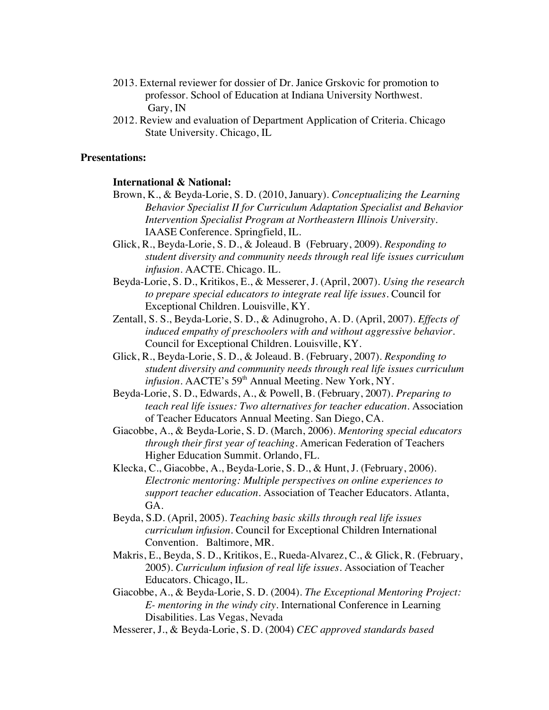- 2013. External reviewer for dossier of Dr. Janice Grskovic for promotion to professor. School of Education at Indiana University Northwest. Gary, IN
- 2012. Review and evaluation of Department Application of Criteria. Chicago State University. Chicago, IL

#### **Presentations:**

#### **International & National:**

- Brown, K., & Beyda-Lorie, S. D. (2010, January). *Conceptualizing the Learning Behavior Specialist II for Curriculum Adaptation Specialist and Behavior Intervention Specialist Program at Northeastern Illinois University.* IAASE Conference. Springfield, IL.
- Glick, R., Beyda-Lorie, S. D., & Joleaud. B (February, 2009). *Responding to student diversity and community needs through real life issues curriculum infusion.* AACTE. Chicago. IL.
- Beyda-Lorie, S. D., Kritikos, E., & Messerer, J. (April, 2007). *Using the research to prepare special educators to integrate real life issues*. Council for Exceptional Children. Louisville, KY.
- Zentall, S. S., Beyda-Lorie, S. D., & Adinugroho, A. D. (April, 2007). *Effects of induced empathy of preschoolers with and without aggressive behavior.* Council for Exceptional Children. Louisville, KY.
- Glick, R., Beyda-Lorie, S. D., & Joleaud. B. (February, 2007). *Responding to student diversity and community needs through real life issues curriculum*  infusion. AACTE's 59<sup>th</sup> Annual Meeting. New York, NY.
- Beyda-Lorie, S. D., Edwards, A., & Powell, B. (February, 2007). *Preparing to teach real life issues: Two alternatives for teacher education.* Association of Teacher Educators Annual Meeting. San Diego, CA.
- Giacobbe, A., & Beyda-Lorie, S. D. (March, 2006). *Mentoring special educators through their first year of teaching.* American Federation of Teachers Higher Education Summit. Orlando, FL.
- Klecka, C., Giacobbe, A., Beyda-Lorie, S. D., & Hunt, J. (February, 2006). *Electronic mentoring: Multiple perspectives on online experiences to support teacher education.* Association of Teacher Educators. Atlanta, GA.
- Beyda, S.D. (April, 2005). *Teaching basic skills through real life issues curriculum infusion.* Council for Exceptional Children International Convention. Baltimore, MR.
- Makris, E., Beyda, S. D., Kritikos, E., Rueda-Alvarez, C., & Glick, R. (February, 2005). *Curriculum infusion of real life issues.* Association of Teacher Educators. Chicago, IL.
- Giacobbe, A., & Beyda-Lorie, S. D. (2004). *The Exceptional Mentoring Project: E- mentoring in the windy city.* International Conference in Learning Disabilities. Las Vegas, Nevada
- Messerer, J., & Beyda-Lorie, S. D. (2004) *CEC approved standards based*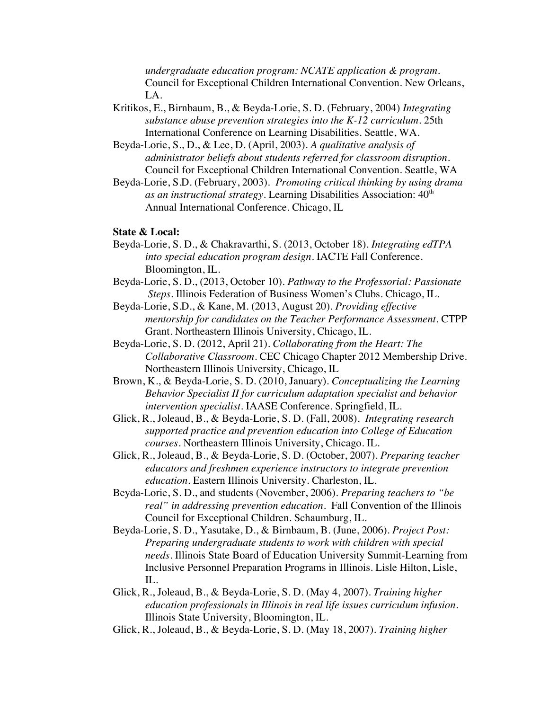*undergraduate education program: NCATE application & program.* Council for Exceptional Children International Convention. New Orleans, LA.

- Kritikos, E., Birnbaum, B., & Beyda-Lorie, S. D. (February, 2004) *Integrating substance abuse prevention strategies into the K-12 curriculum*. 25th International Conference on Learning Disabilities. Seattle, WA.
- Beyda-Lorie, S., D., & Lee, D. (April, 2003). *A qualitative analysis of administrator beliefs about students referred for classroom disruption.*  Council for Exceptional Children International Convention. Seattle, WA
- Beyda-Lorie, S.D. (February, 2003). *Promoting critical thinking by using drama as an instructional strategy.* Learning Disabilities Association:  $40<sup>th</sup>$ Annual International Conference. Chicago, IL

#### **State & Local:**

- Beyda-Lorie, S. D., & Chakravarthi, S. (2013, October 18). *Integrating edTPA into special education program design*. IACTE Fall Conference. Bloomington, IL.
- Beyda-Lorie, S. D., (2013, October 10). *Pathway to the Professorial: Passionate Steps.* Illinois Federation of Business Women's Clubs. Chicago, IL.
- Beyda-Lorie, S.D., & Kane, M. (2013, August 20). *Providing effective mentorship for candidates on the Teacher Performance Assessment*. CTPP Grant. Northeastern Illinois University, Chicago, IL.
- Beyda-Lorie, S. D. (2012, April 21). *Collaborating from the Heart: The Collaborative Classroom.* CEC Chicago Chapter 2012 Membership Drive. Northeastern Illinois University, Chicago, IL
- Brown, K., & Beyda-Lorie, S. D. (2010, January). *Conceptualizing the Learning Behavior Specialist II for curriculum adaptation specialist and behavior intervention specialist.* IAASE Conference. Springfield, IL.
- Glick, R., Joleaud, B., & Beyda-Lorie, S. D. (Fall, 2008). *Integrating research supported practice and prevention education into College of Education courses.* Northeastern Illinois University, Chicago. IL.
- Glick, R., Joleaud, B., & Beyda-Lorie, S. D. (October, 2007). *Preparing teacher educators and freshmen experience instructors to integrate prevention education.* Eastern Illinois University. Charleston, IL.
- Beyda-Lorie, S. D., and students (November, 2006). *Preparing teachers to "be real" in addressing prevention education.* Fall Convention of the Illinois Council for Exceptional Children. Schaumburg, IL.
- Beyda-Lorie, S. D., Yasutake, D., & Birnbaum, B. (June, 2006). *Project Post: Preparing undergraduate students to work with children with special needs.* Illinois State Board of Education University Summit-Learning from Inclusive Personnel Preparation Programs in Illinois. Lisle Hilton, Lisle, IL.
- Glick, R., Joleaud, B., & Beyda-Lorie, S. D. (May 4, 2007). *Training higher education professionals in Illinois in real life issues curriculum infusion.* Illinois State University, Bloomington, IL.
- Glick, R., Joleaud, B., & Beyda-Lorie, S. D. (May 18, 2007). *Training higher*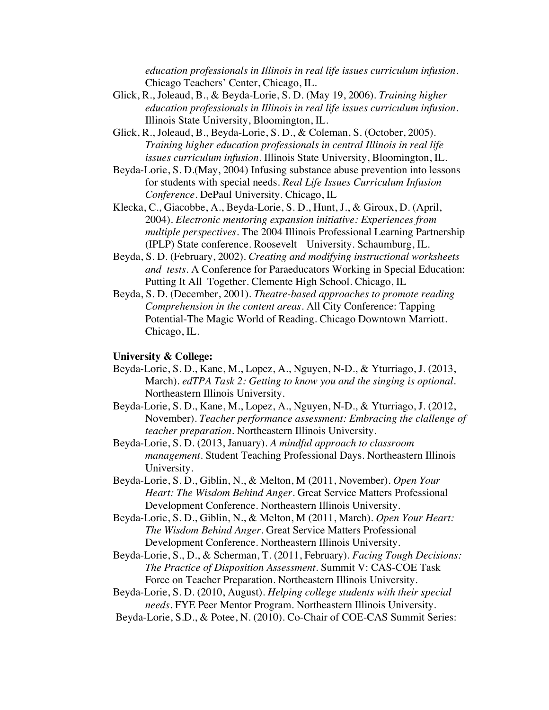*education professionals in Illinois in real life issues curriculum infusion.* Chicago Teachers' Center, Chicago, IL.

- Glick, R., Joleaud, B., & Beyda-Lorie, S. D. (May 19, 2006). *Training higher education professionals in Illinois in real life issues curriculum infusion.* Illinois State University, Bloomington, IL.
- Glick, R., Joleaud, B., Beyda-Lorie, S. D., & Coleman, S. (October, 2005). *Training higher education professionals in central Illinois in real life issues curriculum infusion.* Illinois State University, Bloomington, IL.
- Beyda-Lorie, S. D.(May, 2004) Infusing substance abuse prevention into lessons for students with special needs. *Real Life Issues Curriculum Infusion Conference.* DePaul University. Chicago, IL
- Klecka, C., Giacobbe, A., Beyda-Lorie, S. D., Hunt, J., & Giroux, D. (April, 2004). *Electronic mentoring expansion initiative: Experiences from multiple perspectives.* The 2004 Illinois Professional Learning Partnership (IPLP) State conference. Roosevelt University. Schaumburg, IL.
- Beyda, S. D. (February, 2002). *Creating and modifying instructional worksheets and tests.* A Conference for Paraeducators Working in Special Education: Putting It All Together. Clemente High School. Chicago, IL
- Beyda, S. D. (December, 2001). *Theatre-based approaches to promote reading Comprehension in the content areas.* All City Conference: Tapping Potential-The Magic World of Reading. Chicago Downtown Marriott. Chicago, IL.

#### **University & College:**

- Beyda-Lorie, S. D., Kane, M., Lopez, A., Nguyen, N-D., & Yturriago, J. (2013, March). *edTPA Task 2: Getting to know you and the singing is optional.* Northeastern Illinois University.
- Beyda-Lorie, S. D., Kane, M., Lopez, A., Nguyen, N-D., & Yturriago, J. (2012, November). *Teacher performance assessment: Embracing the clallenge of teacher preparation.* Northeastern Illinois University.
- Beyda-Lorie, S. D. (2013, January). *A mindful approach to classroom management.* Student Teaching Professional Days. Northeastern Illinois University.
- Beyda-Lorie, S. D., Giblin, N., & Melton, M (2011, November). *Open Your Heart: The Wisdom Behind Anger.* Great Service Matters Professional Development Conference. Northeastern Illinois University.
- Beyda-Lorie, S. D., Giblin, N., & Melton, M (2011, March). *Open Your Heart: The Wisdom Behind Anger.* Great Service Matters Professional Development Conference. Northeastern Illinois University.
- Beyda-Lorie, S., D., & Scherman, T. (2011, February). *Facing Tough Decisions: The Practice of Disposition Assessment.* Summit V: CAS-COE Task Force on Teacher Preparation. Northeastern Illinois University.
- Beyda-Lorie, S. D. (2010, August). *Helping college students with their special needs.* FYE Peer Mentor Program. Northeastern Illinois University.
- Beyda-Lorie, S.D., & Potee, N. (2010). Co-Chair of COE-CAS Summit Series: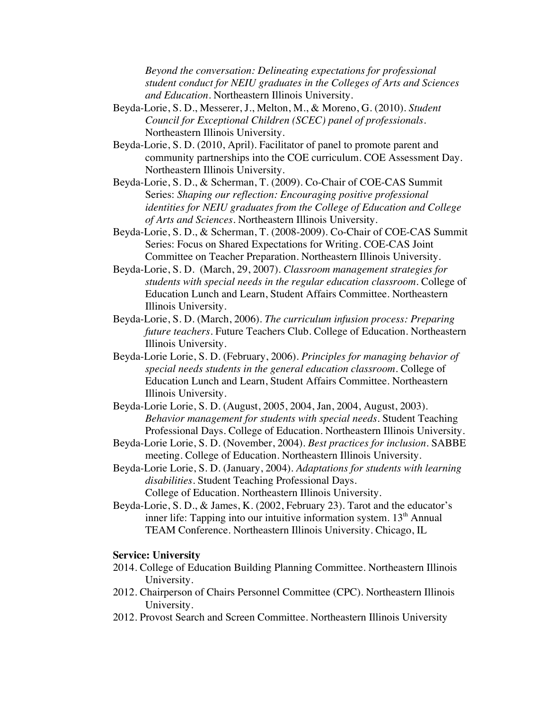*Beyond the conversation: Delineating expectations for professional student conduct for NEIU graduates in the Colleges of Arts and Sciences and Education*. Northeastern Illinois University.

- Beyda-Lorie, S. D., Messerer, J., Melton, M., & Moreno, G. (2010). *Student Council for Exceptional Children (SCEC) panel of professionals.*  Northeastern Illinois University.
- Beyda-Lorie, S. D. (2010, April). Facilitator of panel to promote parent and community partnerships into the COE curriculum. COE Assessment Day. Northeastern Illinois University.
- Beyda-Lorie, S. D., & Scherman, T. (2009). Co-Chair of COE-CAS Summit Series: *Shaping our reflection: Encouraging positive professional identities for NEIU graduates from the College of Education and College of Arts and Sciences.* Northeastern Illinois University.
- Beyda-Lorie, S. D., & Scherman, T. (2008-2009). Co-Chair of COE-CAS Summit Series: Focus on Shared Expectations for Writing. COE-CAS Joint Committee on Teacher Preparation. Northeastern Illinois University.
- Beyda-Lorie, S. D. (March, 29, 2007). *Classroom management strategies for students with special needs in the regular education classroom.* College of Education Lunch and Learn, Student Affairs Committee. Northeastern Illinois University.
- Beyda-Lorie, S. D. (March, 2006). *The curriculum infusion process: Preparing future teachers.* Future Teachers Club. College of Education. Northeastern Illinois University.
- Beyda-Lorie Lorie, S. D. (February, 2006). *Principles for managing behavior of special needs students in the general education classroom.* College of Education Lunch and Learn, Student Affairs Committee. Northeastern Illinois University.
- Beyda-Lorie Lorie, S. D. (August, 2005, 2004, Jan, 2004, August, 2003). *Behavior management for students with special needs.* Student Teaching Professional Days. College of Education. Northeastern Illinois University.
- Beyda-Lorie Lorie, S. D. (November, 2004). *Best practices for inclusion.* SABBE meeting. College of Education. Northeastern Illinois University.
- Beyda-Lorie Lorie, S. D. (January, 2004). *Adaptations for students with learning disabilities.* Student Teaching Professional Days. College of Education. Northeastern Illinois University.
- Beyda-Lorie, S. D., & James, K. (2002, February 23). Tarot and the educator's inner life: Tapping into our intuitive information system.  $13<sup>th</sup>$  Annual TEAM Conference. Northeastern Illinois University. Chicago, IL

#### **Service: University**

- 2014. College of Education Building Planning Committee. Northeastern Illinois University.
- 2012. Chairperson of Chairs Personnel Committee (CPC). Northeastern Illinois University.
- 2012. Provost Search and Screen Committee. Northeastern Illinois University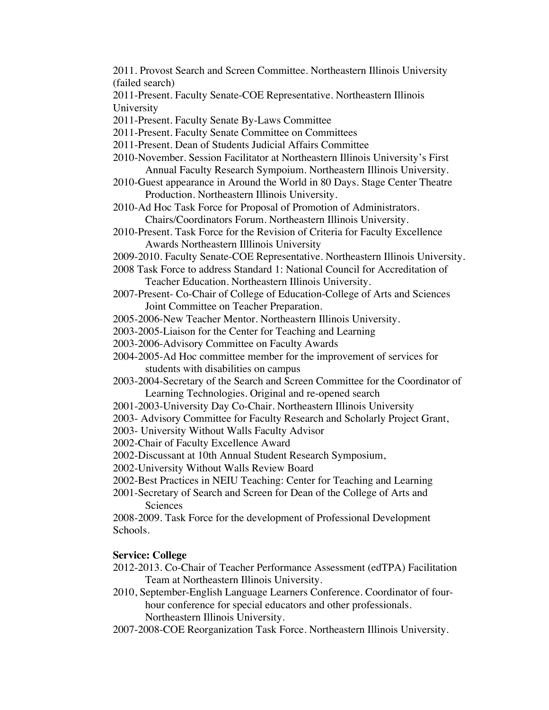2011. Provost Search and Screen Committee. Northeastern Illinois University (failed search)

2011-Present. Faculty Senate-COE Representative. Northeastern Illinois University

2011-Present. Faculty Senate By-Laws Committee

2011-Present. Faculty Senate Committee on Committees

- 2011-Present. Dean of Students Judicial Affairs Committee
- 2010-November. Session Facilitator at Northeastern Illinois University's First Annual Faculty Research Sympoium. Northeastern Illinois University.
- 2010-Guest appearance in Around the World in 80 Days. Stage Center Theatre Production. Northeastern Illinois University.
- 2010-Ad Hoc Task Force for Proposal of Promotion of Administrators. Chairs/Coordinators Forum. Northeastern Illinois University.
- 2010-Present. Task Force for the Revision of Criteria for Faculty Excellence Awards Northeastern Illlinois University
- 2009-2010. Faculty Senate-COE Representative. Northeastern Illinois University.
- 2008 Task Force to address Standard 1: National Council for Accreditation of Teacher Education. Northeastern Illinois University.
- 2007-Present- Co-Chair of College of Education-College of Arts and Sciences Joint Committee on Teacher Preparation.
- 2005-2006-New Teacher Mentor. Northeastern Illinois University.
- 2003-2005-Liaison for the Center for Teaching and Learning
- 2003-2006-Advisory Committee on Faculty Awards
- 2004-2005-Ad Hoc committee member for the improvement of services for students with disabilities on campus
- 2003-2004-Secretary of the Search and Screen Committee for the Coordinator of Learning Technologies. Original and re-opened search
- 2001-2003-University Day Co-Chair. Northeastern Illinois University
- 2003- Advisory Committee for Faculty Research and Scholarly Project Grant,
- 2003- University Without Walls Faculty Advisor
- 2002-Chair of Faculty Excellence Award
- 2002-Discussant at 10th Annual Student Research Symposium,

2002-University Without Walls Review Board

- 2002-Best Practices in NEIU Teaching: Center for Teaching and Learning
- 2001-Secretary of Search and Screen for Dean of the College of Arts and **Sciences**

2008-2009. Task Force for the development of Professional Development Schools.

## **Service: College**

- 2012-2013. Co-Chair of Teacher Performance Assessment (edTPA) Facilitation Team at Northeastern Illinois University.
- 2010, September-English Language Learners Conference. Coordinator of fourhour conference for special educators and other professionals. Northeastern Illinois University.
- 2007-2008-COE Reorganization Task Force. Northeastern Illinois University.